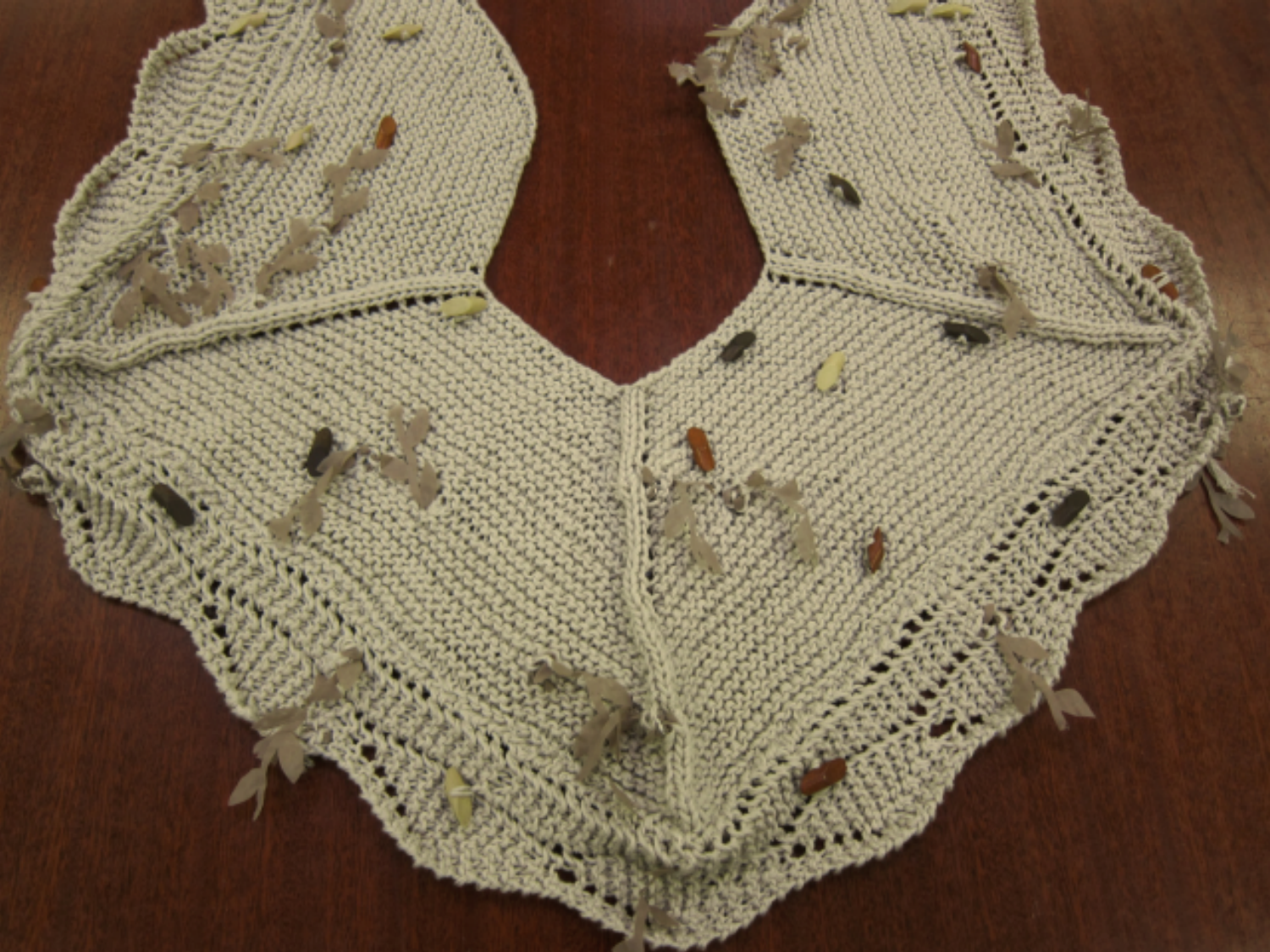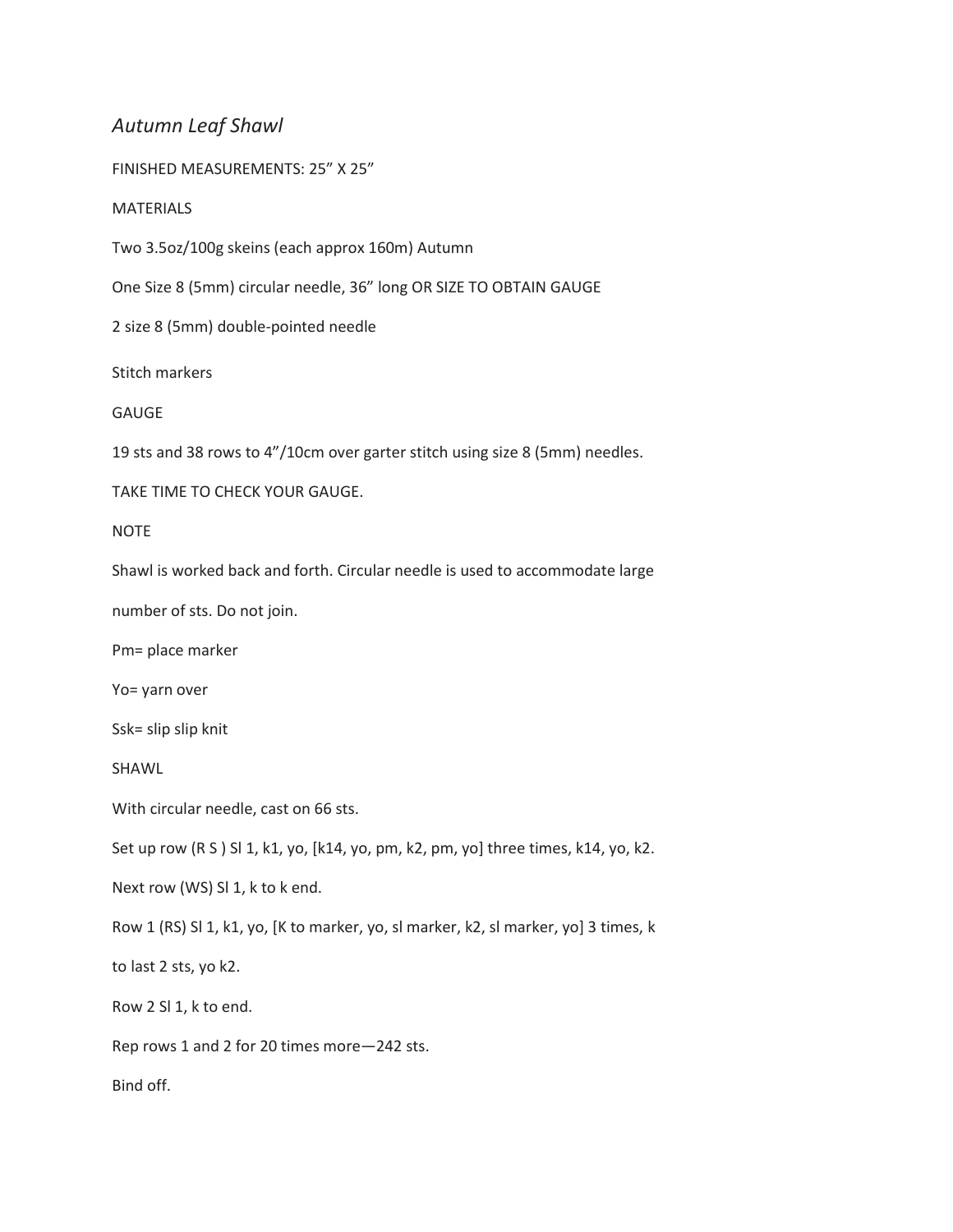## *Autumn Leaf Shawl*

FINISHED MEASUREMENTS: 25" X 25"

MATERIALS

Two 3.5oz/100g skeins (each approx 160m) Autumn

One Size 8 (5mm) circular needle, 36" long OR SIZE TO OBTAIN GAUGE

2 size 8 (5mm) double-pointed needle

Stitch markers

GAUGE

19 sts and 38 rows to 4"/10cm over garter stitch using size 8 (5mm) needles.

TAKE TIME TO CHECK YOUR GAUGE.

NOTE

Shawl is worked back and forth. Circular needle is used to accommodate large

number of sts. Do not join.

Pm= place marker

Yo= yarn over

Ssk= slip slip knit

SHAWL

With circular needle, cast on 66 sts.

Set up row (R S ) Sl 1, k1, yo, [k14, yo, pm, k2, pm, yo] three times, k14, yo, k2.

Next row (WS) Sl 1, k to k end.

Row 1 (RS) Sl 1, k1, yo, [K to marker, yo, sl marker, k2, sl marker, yo] 3 times, k

to last 2 sts, yo k2.

Row 2 Sl 1, k to end.

Rep rows 1 and 2 for 20 times more—242 sts.

Bind off.